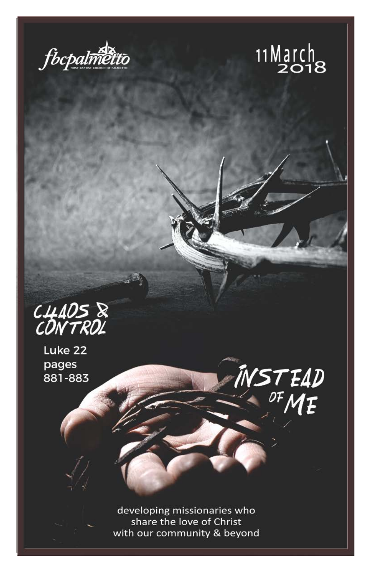



INSTEAD<br><sup>OF</sup>ME



Luke 22 pages 881-883

> developing missionaries who share the love of Christ with our community & beyond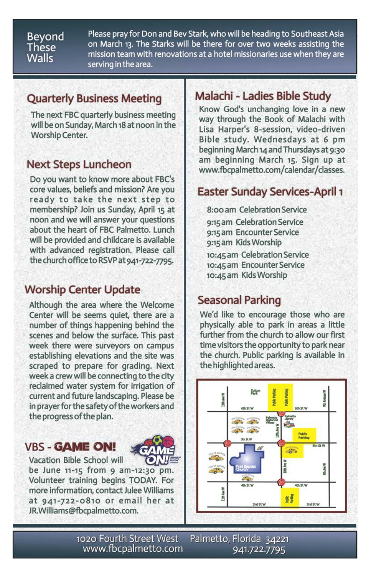#### Beyond These **Walls**

Please pray for Don and Bev Stark, who will be heading to Southeast Asia on March 13. The Starks will be there for over two weeks assisting the mission team with renovations at a hotel missionaries use when they are serving in the area.

### **Quarterly Business Meeting**

The next FBC quarterly business meeting will be on Sunday, March 18 at noon in the Worship Center.

#### **Next Steps Luncheon**

Do you want to know more about FBC's core values, beliefs and mission? Are you ready to take the next step to membership? Join us Sunday, April 15 at noon and we will answer your questions about the heart of FBC Palmetto. Lunch will be provided and childcare is available with advanced registration. Please call the church office to RSVP at 941-722-7795.

## **Worship Center Update**

Although the area where the Welcome Center will be seems quiet, there are a number of things happening behind the scenes and below the surface. This past week there were surveyors on campus establishing elevations and the site was scraped to prepare for grading. Next week a crew will be connecting to the city reclaimed water system for irrigation of current and future landscaping. Please be in prayer for the safety of the workers and the progress of the plan.

### **VBS - GAME ON!**



Vacation Bible School will be June  $11-15$  from  $9$  am- $12:30$  pm. Volunteer training begins TODAY. For more information, contact Julee Williams at 941-722-0810 or email her at JR.Williams@fbcpalmetto.com.

### Malachi - Ladies Bible Study

Know God's unchanging love in a new way through the Book of Malachi with Lisa Harper's 8-session, video-driven Bible study. Wednesdays at 6 pm beginning March 14 and Thursdays at 9:30 am beginning March 15. Sign up at www.fbcpalmetto.com/calendar/classes.

## **Easter Sunday Services-April 1**

8:00 am Celebration Service 9:15 am Celebration Service 9:15 am Encounter Service 9:15 am Kids Worship 10:45 am Celebration Service 10:45 am Encounter Service 10:45 am Kids Worship

## **Seasonal Parking**

We'd like to encourage those who are physically able to park in areas a little further from the church to allow our first time visitors the opportunity to park near the church. Public parking is available in the highlighted areas.



1020 Fourth Street West www.fbcpalmetto.com

Palmetto, Florida 34221 941.722.7795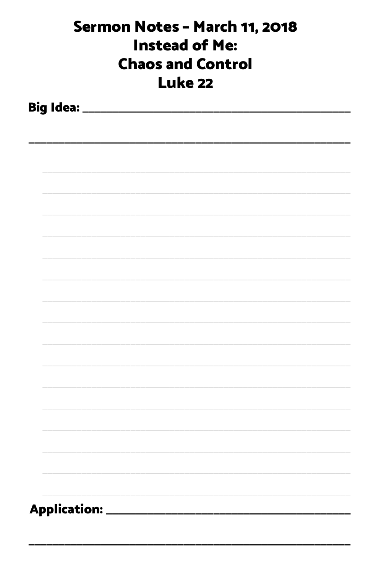| Sermon Notes - March 11, 2018<br><b>Instead of Me:</b><br><b>Chaos and Control</b><br><b>Luke 22</b> |                            |  |  |  |  |  |  |
|------------------------------------------------------------------------------------------------------|----------------------------|--|--|--|--|--|--|
|                                                                                                      |                            |  |  |  |  |  |  |
|                                                                                                      |                            |  |  |  |  |  |  |
|                                                                                                      |                            |  |  |  |  |  |  |
|                                                                                                      |                            |  |  |  |  |  |  |
|                                                                                                      |                            |  |  |  |  |  |  |
|                                                                                                      |                            |  |  |  |  |  |  |
|                                                                                                      |                            |  |  |  |  |  |  |
|                                                                                                      |                            |  |  |  |  |  |  |
|                                                                                                      |                            |  |  |  |  |  |  |
|                                                                                                      |                            |  |  |  |  |  |  |
|                                                                                                      |                            |  |  |  |  |  |  |
|                                                                                                      |                            |  |  |  |  |  |  |
|                                                                                                      |                            |  |  |  |  |  |  |
|                                                                                                      | Application: _____________ |  |  |  |  |  |  |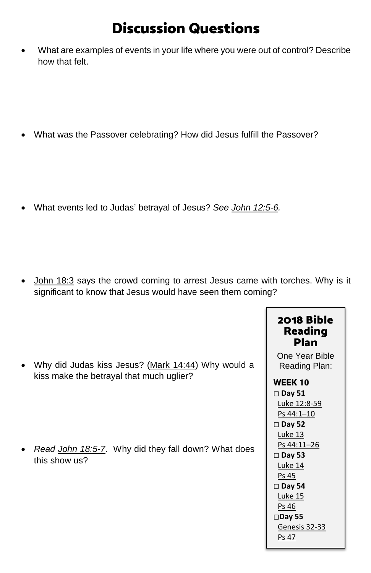# Discussion Questions

• What are examples of events in your life where you were out of control? Describe how that felt.

• What was the Passover celebrating? How did Jesus fulfill the Passover?

• What events led to Judas' betrayal of Jesus? *See [John 12:5-6.](https://www.biblegateway.com/passage/?search=John+12%3A5-6&version=ESV)*

• [John 18:3](https://www.biblegateway.com/passage/?search=John+18%3A3+&version=ESV) says the crowd coming to arrest Jesus came with torches. Why is it significant to know that Jesus would have seen them coming?

|                                                                  | 2018 Bible<br><b>Reading</b><br><b>Plan</b> |
|------------------------------------------------------------------|---------------------------------------------|
| Why did Judas kiss Jesus? (Mark 14:44) Why would a<br>$\bullet$  | One Year Bible<br>Reading Plan:             |
| kiss make the betrayal that much uglier?                         | <b>WEEK 10</b>                              |
|                                                                  | $\square$ Day 51                            |
|                                                                  | Luke 12:8-59                                |
|                                                                  | Ps 44:1-10                                  |
|                                                                  | $\square$ Day 52                            |
|                                                                  | Luke 13                                     |
| Read John 18:5-7. Why did they fall down? What does<br>$\bullet$ | Ps 44:11-26                                 |
| this show us?                                                    | $\square$ Day 53                            |
|                                                                  | Luke 14                                     |
|                                                                  | Ps 45                                       |
|                                                                  | $\square$ Day 54                            |
|                                                                  | <b>Luke 15</b>                              |
|                                                                  | Ps 46                                       |
|                                                                  | $\square$ Day 55                            |
|                                                                  | Genesis 32-33<br>Ps 47                      |
|                                                                  |                                             |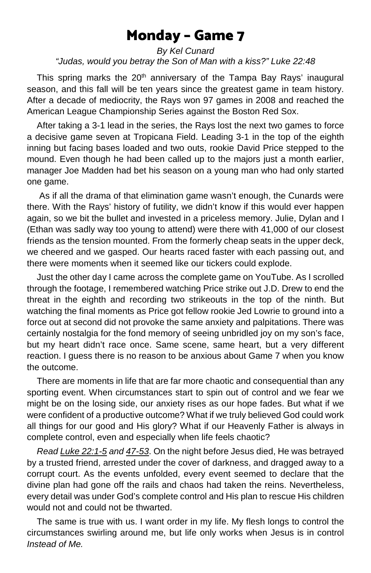## Monday – Game 7

#### *By Kel Cunard "Judas, would you betray the Son of Man with a kiss?" Luke 22:48*

This spring marks the  $20<sup>th</sup>$  anniversary of the Tampa Bay Rays' inaugural season, and this fall will be ten years since the greatest game in team history. After a decade of mediocrity, the Rays won 97 games in 2008 and reached the American League Championship Series against the Boston Red Sox.

 After taking a 3-1 lead in the series, the Rays lost the next two games to force a decisive game seven at Tropicana Field. Leading 3-1 in the top of the eighth inning but facing bases loaded and two outs, rookie David Price stepped to the mound. Even though he had been called up to the majors just a month earlier, manager Joe Madden had bet his season on a young man who had only started one game.

 As if all the drama of that elimination game wasn't enough, the Cunards were there. With the Rays' history of futility, we didn't know if this would ever happen again, so we bit the bullet and invested in a priceless memory. Julie, Dylan and I (Ethan was sadly way too young to attend) were there with 41,000 of our closest friends as the tension mounted. From the formerly cheap seats in the upper deck, we cheered and we gasped. Our hearts raced faster with each passing out, and there were moments when it seemed like our tickers could explode.

 Just the other day I came across the complete game on YouTube. As I scrolled through the footage, I remembered watching Price strike out J.D. Drew to end the threat in the eighth and recording two strikeouts in the top of the ninth. But watching the final moments as Price got fellow rookie Jed Lowrie to ground into a force out at second did not provoke the same anxiety and palpitations. There was certainly nostalgia for the fond memory of seeing unbridled joy on my son's face, but my heart didn't race once. Same scene, same heart, but a very different reaction. I guess there is no reason to be anxious about Game 7 when you know the outcome.

 There are moments in life that are far more chaotic and consequential than any sporting event. When circumstances start to spin out of control and we fear we might be on the losing side, our anxiety rises as our hope fades. But what if we were confident of a productive outcome? What if we truly believed God could work all things for our good and His glory? What if our Heavenly Father is always in complete control, even and especially when life feels chaotic?

 *Rea[d Luke 22:1-5](https://www.biblegateway.com/passage/?search=Luke+22%3A1-5&version=ESV) an[d 47-53](https://www.biblegateway.com/passage/?search=luke+22%3A47-53&version=ESV)*. On the night before Jesus died, He was betrayed by a trusted friend, arrested under the cover of darkness, and dragged away to a corrupt court. As the events unfolded, every event seemed to declare that the divine plan had gone off the rails and chaos had taken the reins. Nevertheless, every detail was under God's complete control and His plan to rescue His children would not and could not be thwarted.

 The same is true with us. I want order in my life. My flesh longs to control the circumstances swirling around me, but life only works when Jesus is in control *Instead of Me.*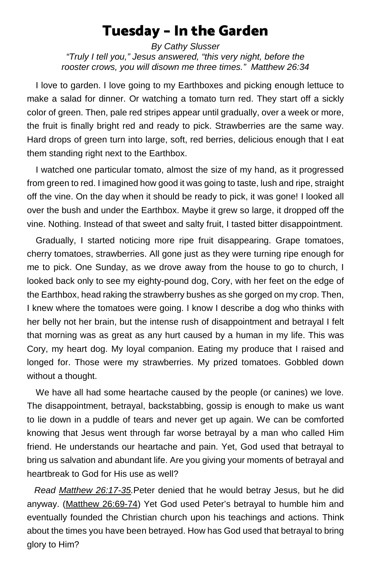## Tuesday – In the Garden

*By Cathy Slusser "Truly I tell you," Jesus answered, "this very night, before the rooster crows, you will disown me three times." Matthew 26:34*

I love to garden. I love going to my Earthboxes and picking enough lettuce to make a salad for dinner. Or watching a tomato turn red. They start off a sickly color of green. Then, pale red stripes appear until gradually, over a week or more, the fruit is finally bright red and ready to pick. Strawberries are the same way. Hard drops of green turn into large, soft, red berries, delicious enough that I eat them standing right next to the Earthbox.

I watched one particular tomato, almost the size of my hand, as it progressed from green to red. I imagined how good it was going to taste, lush and ripe, straight off the vine. On the day when it should be ready to pick, it was gone! I looked all over the bush and under the Earthbox. Maybe it grew so large, it dropped off the vine. Nothing. Instead of that sweet and salty fruit, I tasted bitter disappointment.

Gradually, I started noticing more ripe fruit disappearing. Grape tomatoes, cherry tomatoes, strawberries. All gone just as they were turning ripe enough for me to pick. One Sunday, as we drove away from the house to go to church, I looked back only to see my eighty-pound dog, Cory, with her feet on the edge of the Earthbox, head raking the strawberry bushes as she gorged on my crop. Then, I knew where the tomatoes were going. I know I describe a dog who thinks with her belly not her brain, but the intense rush of disappointment and betrayal I felt that morning was as great as any hurt caused by a human in my life. This was Cory, my heart dog. My loyal companion. Eating my produce that I raised and longed for. Those were my strawberries. My prized tomatoes. Gobbled down without a thought.

We have all had some heartache caused by the people (or canines) we love. The disappointment, betrayal, backstabbing, gossip is enough to make us want to lie down in a puddle of tears and never get up again. We can be comforted knowing that Jesus went through far worse betrayal by a man who called Him friend. He understands our heartache and pain. Yet, God used that betrayal to bring us salvation and abundant life. Are you giving your moments of betrayal and heartbreak to God for His use as well?

 *Read [Matthew 26:17-35.](https://www.biblegateway.com/passage/?search=Matthew+26%3A17-35&version=ESV)*Peter denied that he would betray Jesus, but he did anyway. [\(Matthew 26:69-74\)](https://www.biblegateway.com/passage/?search=Matthew+26%3A69-74&version=ESV) Yet God used Peter's betrayal to humble him and eventually founded the Christian church upon his teachings and actions. Think about the times you have been betrayed. How has God used that betrayal to bring glory to Him?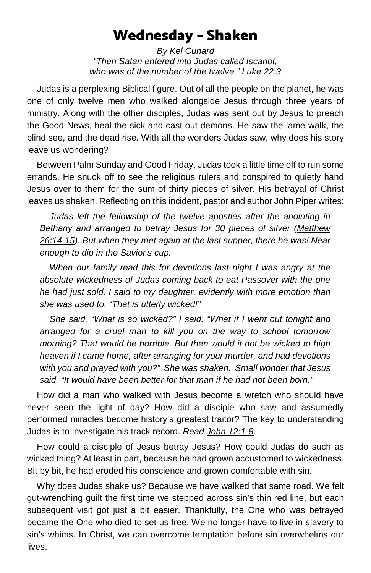## Wednesday – Shaken

*By Kel Cunard "Then Satan entered into Judas called Iscariot, who was of the number of the twelve." Luke 22:3*

 Judas is a perplexing Biblical figure. Out of all the people on the planet, he was one of only twelve men who walked alongside Jesus through three years of ministry. Along with the other disciples, Judas was sent out by Jesus to preach the Good News, heal the sick and cast out demons. He saw the lame walk, the blind see, and the dead rise. With all the wonders Judas saw, why does his story leave us wondering?

 Between Palm Sunday and Good Friday, Judas took a little time off to run some errands. He snuck off to see the religious rulers and conspired to quietly hand Jesus over to them for the sum of thirty pieces of silver. His betrayal of Christ leaves us shaken. Reflecting on this incident, pastor and author John Piper writes:

 *Judas left the fellowship of the twelve apostles after the anointing in Bethany and arranged to betray Jesus for 30 pieces of silver [\(Matthew](https://www.biblegateway.com/passage/?search=Matthew+26%3A14-15&version=ESV)  [26:14-15\)](https://www.biblegateway.com/passage/?search=Matthew+26%3A14-15&version=ESV). But when they met again at the last supper, there he was! Near enough to dip in the Savior's cup.*

 *When our family read this for devotions last night I was angry at the absolute wickedness of Judas coming back to eat Passover with the one he had just sold. I said to my daughter, evidently with more emotion than she was used to, "That is utterly wicked!"*

 *She said, "What is so wicked?" I said: "What if I went out tonight and arranged for a cruel man to kill you on the way to school tomorrow morning? That would be horrible. But then would it not be wicked to high heaven if I came home, after arranging for your murder, and had devotions with you and prayed with you?" She was shaken. Small wonder that Jesus said, "It would have been better for that man if he had not been born."*

 How did a man who walked with Jesus become a wretch who should have never seen the light of day? How did a disciple who saw and assumedly performed miracles become history's greatest traitor? The key to understanding Judas is to investigate his track record. *Read [John 12:1-8.](https://www.biblegateway.com/passage/?search=John+12%3A1-8&version=ESV)* 

 How could a disciple of Jesus betray Jesus? How could Judas do such as wicked thing? At least in part, because he had grown accustomed to wickedness. Bit by bit, he had eroded his conscience and grown comfortable with sin.

 Why does Judas shake us? Because we have walked that same road. We felt gut-wrenching guilt the first time we stepped across sin's thin red line, but each subsequent visit got just a bit easier. Thankfully, the One who was betrayed became the One who died to set us free. We no longer have to live in slavery to sin's whims. In Christ, we can overcome temptation before sin overwhelms our lives.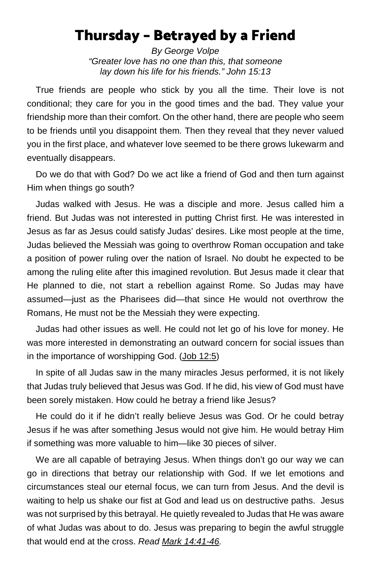## Thursday – Betrayed by a Friend

*By George Volpe "Greater love has no one than this, that someone lay down his life for his friends." John 15:13*

True friends are people who stick by you all the time. Their love is not conditional; they care for you in the good times and the bad. They value your friendship more than their comfort. On the other hand, there are people who seem to be friends until you disappoint them. Then they reveal that they never valued you in the first place, and whatever love seemed to be there grows lukewarm and eventually disappears.

Do we do that with God? Do we act like a friend of God and then turn against Him when things go south?

Judas walked with Jesus. He was a disciple and more. Jesus called him a friend. But Judas was not interested in putting Christ first. He was interested in Jesus as far as Jesus could satisfy Judas' desires. Like most people at the time, Judas believed the Messiah was going to overthrow Roman occupation and take a position of power ruling over the nation of Israel. No doubt he expected to be among the ruling elite after this imagined revolution. But Jesus made it clear that He planned to die, not start a rebellion against Rome. So Judas may have assumed—just as the Pharisees did—that since He would not overthrow the Romans, He must not be the Messiah they were expecting.

Judas had other issues as well. He could not let go of his love for money. He was more interested in demonstrating an outward concern for social issues than in the importance of worshipping God. [\(Job 12:5\)](https://www.biblegateway.com/passage/?search=Job+12%3A5&version=ESV)

In spite of all Judas saw in the many miracles Jesus performed, it is not likely that Judas truly believed that Jesus was God. If he did, his view of God must have been sorely mistaken. How could he betray a friend like Jesus?

He could do it if he didn't really believe Jesus was God. Or he could betray Jesus if he was after something Jesus would not give him. He would betray Him if something was more valuable to him—like 30 pieces of silver.

We are all capable of betraying Jesus. When things don't go our way we can go in directions that betray our relationship with God. If we let emotions and circumstances steal our eternal focus, we can turn from Jesus. And the devil is waiting to help us shake our fist at God and lead us on destructive paths. Jesus was not surprised by this betrayal. He quietly revealed to Judas that He was aware of what Judas was about to do. Jesus was preparing to begin the awful struggle that would end at the cross. *Read [Mark 14:41-46.](https://www.biblegateway.com/passage/?search=Mark+14%3A41-46&version=ESV)*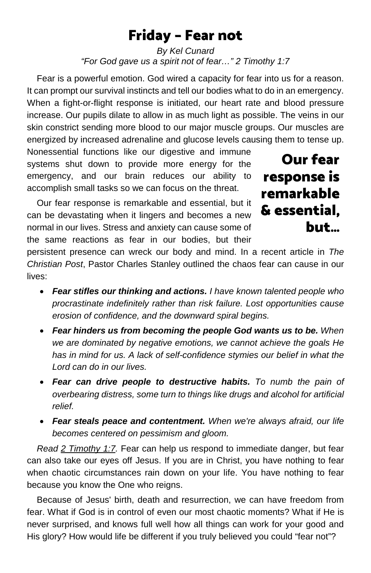## Friday – Fear not

*By Kel Cunard "For God gave us a spirit not of fear…" 2 Timothy 1:7*

 Fear is a powerful emotion. God wired a capacity for fear into us for a reason. It can prompt our survival instincts and tell our bodies what to do in an emergency. When a fight-or-flight response is initiated, our heart rate and blood pressure increase. Our pupils dilate to allow in as much light as possible. The veins in our skin constrict sending more blood to our major muscle groups. Our muscles are energized by increased adrenaline and glucose levels causing them to tense up.

Nonessential functions like our digestive and immune systems shut down to provide more energy for the emergency, and our brain reduces our ability to accomplish small tasks so we can focus on the threat.

 Our fear response is remarkable and essential, but it can be devastating when it lingers and becomes a new normal in our lives. Stress and anxiety can cause some of the same reactions as fear in our bodies, but their

Our fear response is remarkable & essential, but…

persistent presence can wreck our body and mind. In a recent article in *The Christian Post*, Pastor Charles Stanley outlined the chaos fear can cause in our lives:

- *Fear stifles our thinking and actions. I have known talented people who procrastinate indefinitely rather than risk failure. Lost opportunities cause erosion of confidence, and the downward spiral begins.*
- *Fear hinders us from becoming the people God wants us to be. When we are dominated by negative emotions, we cannot achieve the goals He has in mind for us. A lack of self-confidence stymies our belief in what the Lord can do in our lives.*
- *Fear can drive people to destructive habits. To numb the pain of overbearing distress, some turn to things like drugs and alcohol for artificial relief.*
- *Fear steals peace and contentment. When we're always afraid, our life becomes centered on pessimism and gloom.*

 *Read [2 Timothy 1:7.](https://www.biblegateway.com/passage/?search=2+Timothy+1%3A7&version=ESV)* Fear can help us respond to immediate danger, but fear can also take our eyes off Jesus. If you are in Christ, you have nothing to fear when chaotic circumstances rain down on your life. You have nothing to fear because you know the One who reigns.

 Because of Jesus' birth, death and resurrection, we can have freedom from fear. What if God is in control of even our most chaotic moments? What if He is never surprised, and knows full well how all things can work for your good and His glory? How would life be different if you truly believed you could "fear not"?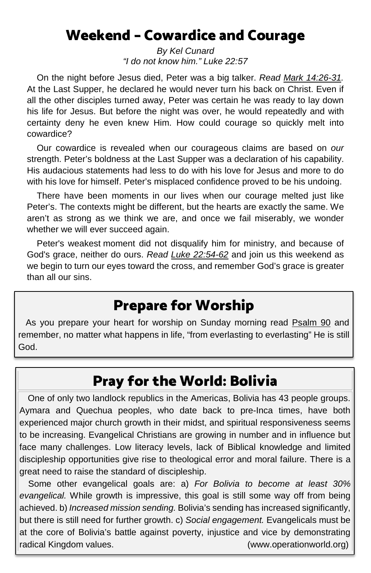## Weekend – Cowardice and Courage

*By Kel Cunard "I do not know him." Luke 22:57*

 On the night before Jesus died, Peter was a big talker. *Read [Mark 14:26-31.](https://www.biblegateway.com/passage/?search=Mark+14%3A26-31&version=ESV)* At the Last Supper, he declared he would never turn his back on Christ. Even if all the other disciples turned away, Peter was certain he was ready to lay down his life for Jesus. But before the night was over, he would repeatedly and with certainty deny he even knew Him. How could courage so quickly melt into cowardice?

 Our cowardice is revealed when our courageous claims are based on *our* strength. Peter's boldness at the Last Supper was a declaration of his capability. His audacious statements had less to do with his love for Jesus and more to do with his love for himself. Peter's misplaced confidence proved to be his undoing.

 There have been moments in our lives when our courage melted just like Peter's. The contexts might be different, but the hearts are exactly the same. We aren't as strong as we think we are, and once we fail miserably, we wonder whether we will ever succeed again.

 Peter's weakest moment did not disqualify him for ministry, and because of God's grace, neither do ours. *Read [Luke 22:54-62](https://www.biblegateway.com/passage/?search=Luke+22%3A54-62&version=ESV)* and join us this weekend as we begin to turn our eyes toward the cross, and remember God's grace is greater than all our sins.

# Prepare for Worship

 As you prepare your heart for worship on Sunday morning read [Psalm 90](https://www.biblegateway.com/passage/?search=Psalm+90&version=ESV) and remember, no matter what happens in life, "from everlasting to everlasting" He is still God.

# Pray for the World: Bolivia

One of only two landlock republics in the Americas, Bolivia has 43 people groups. Aymara and Quechua peoples, who date back to pre-Inca times, have both experienced major church growth in their midst, and spiritual responsiveness seems to be increasing. Evangelical Christians are growing in number and in influence but face many challenges. Low literacy levels, lack of Biblical knowledge and limited discipleship opportunities give rise to theological error and moral failure. There is a great need to raise the standard of discipleship.

Some other evangelical goals are: a) *For Bolivia to become at least 30% evangelical.* While growth is impressive, this goal is still some way off from being achieved. b) *Increased mission sending.* Bolivia's sending has increased significantly, but there is still need for further growth. c) *Social engagement.* Evangelicals must be at the core of Bolivia's battle against poverty, injustice and vice by demonstrating radical Kingdom values. (www.operationworld.org)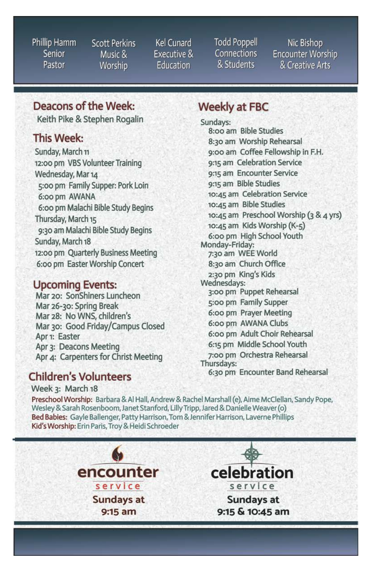Phillip Hamm Senior Pastor

Scott Perkins Music & Worship

Kel Cunard Executive & Education

**Todd Poppell Connections** & Students

Nic Bishop **Encounter Worship** & Creative Arts

### Deacons of the Week:

Keith Pike & Stephen Rogalin

#### This Week:

Sunday, March 11 12:00 pm VBS Volunteer Training Wednesday, Mar 14 5:00 pm Family Supper: Pork Loin 6:00 pm AWANA 6:00 pm Malachi Bible Study Begins Thursday, March 15 9:30 am Malachi Bible Study Begins Sunday, March 18 12:00 pm Quarterly Business Meeting 6:00 pm Easter Worship Concert

#### **Upcoming Events:**

Mar 20: SonShiners Luncheon Mar 26-30: Spring Break Mar 28: No WNS, children's Mar 30: Good Friday/Campus Closed Apr 1: Easter Apr 3: Deacons Meeting Apr 4: Carpenters for Christ Meeting

#### **Children's Volunteers**

Week 3: March 18

### **Weekly at FBC**

Sundays: 8:00 am Bible Studies 8:30 am Worship Rehearsal 9:00 am Coffee Fellowship in F.H. 9:15 am Celebration Service 9:15 am Encounter Service 9:15 am Bible Studies 10:45 am Celebration Service 10:45 am Bible Studies 10:45 am Preschool Worship (3 & 4 yrs) 10:45 am Kids Worship (K-5) 6:00 pm High School Youth Monday-Friday: 7:30 am WEE World 8:30 am Church Office 2:30 pm King's Kids Wednesdays: 3:00 pm Puppet Rehearsal 5:00 pm Family Supper 6:00 pm Prayer Meeting 6:00 pm AWANA Clubs 6:00 pm Adult Choir Rehearsal 6:15 pm Middle School Youth 7:00 pm Orchestra Rehearsal Thursdays: 6:30 pm Encounter Band Rehearsal

Preschool Worship: Barbara & Al Hall, Andrew & Rachel Marshall (e), Aime McClellan, Sandy Pope, Wesley & Sarah Rosenboom, Janet Stanford, Lilly Tripp, Jared & Danielle Weaver (o) Bed Babies: Gayle Ballenger, Patty Harrison, Tom & Jennifer Harrison, Laverne Phillips Kid's Worship: Erin Paris, Troy & Heidi Schroeder